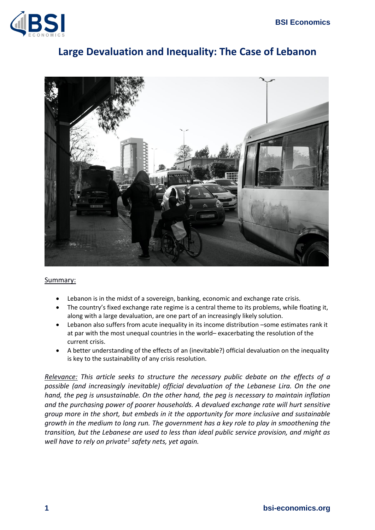

# **Large Devaluation and Inequality: The Case of Lebanon**



#### Summary:

- Lebanon is in the midst of a sovereign, banking, economic and exchange rate crisis.
- The country's fixed exchange rate regime is a central theme to its problems, while floating it, along with a large devaluation, are one part of an increasingly likely solution.
- Lebanon also suffers from acute inequality in its income distribution –some estimates rank it at par with the most unequal countries in the world– exacerbating the resolution of the current crisis.
- A better understanding of the effects of an (inevitable?) official devaluation on the inequality is key to the sustainability of any crisis resolution.

*Relevance: This article seeks to structure the necessary public debate on the effects of a possible (and increasingly inevitable) official devaluation of the Lebanese Lira. On the one hand, the peg is unsustainable. On the other hand, the peg is necessary to maintain inflation and the purchasing power of poorer households. A devalued exchange rate will hurt sensitive group more in the short, but embeds in it the opportunity for more inclusive and sustainable growth in the medium to long run. The government has a key role to play in smoothening the transition, but the Lebanese are used to less than ideal public service provision, and might as well have to rely on private<sup>1</sup> safety nets, yet again.*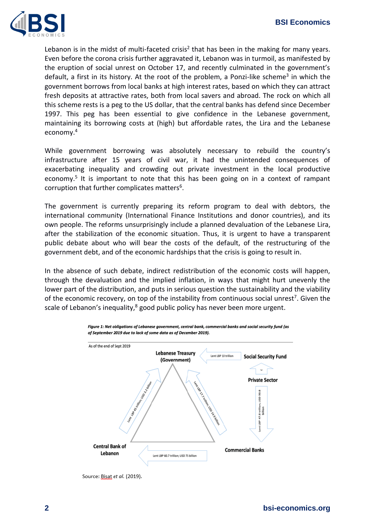

Lebanon is in the midst of multi-faceted crisis<sup>2</sup> that has been in the making for many years. Even before the corona crisis further aggravated it, Lebanon was in turmoil, as manifested by the eruption of social unrest on October 17, and recently culminated in the government's default, a first in its history. At the root of the problem, a Ponzi-like scheme<sup>3</sup> in which the government borrows from local banks at high interest rates, based on which they can attract fresh deposits at attractive rates, both from local savers and abroad. The rock on which all this scheme rests is a peg to the US dollar, that the central banks has defend since December 1997. This peg has been essential to give confidence in the Lebanese government, maintaining its borrowing costs at (high) but affordable rates, the Lira and the Lebanese economy.<sup>4</sup>

While government borrowing was absolutely necessary to rebuild the country's infrastructure after 15 years of civil war, it had the unintended consequences of exacerbating inequality and crowding out private investment in the local productive economy.<sup>5</sup> It is important to note that this has been going on in a context of rampant corruption that further complicates matters<sup>6</sup>.

The government is currently preparing its reform program to deal with debtors, the international community (International Finance Institutions and donor countries), and its own people. The reforms unsurprisingly include a planned devaluation of the Lebanese Lira, after the stabilization of the economic situation. Thus, it is urgent to have a transparent public debate about who will bear the costs of the default, of the restructuring of the government debt, and of the economic hardships that the crisis is going to result in.

In the absence of such debate, indirect redistribution of the economic costs will happen, through the devaluation and the implied inflation, in ways that might hurt unevenly the lower part of the distribution, and puts in serious question the sustainability and the viability of the economic recovery, on top of the instability from continuous social unrest<sup>7</sup>. Given the scale of Lebanon's inequality,<sup>8</sup> good public policy has never been more urgent.



Figure 1: Net obligations of Lebanese government, central bank, commercial banks and social security fund (as of September 2019 due to lack of some data as of December 2019).

Source: Bisat et al. (2019).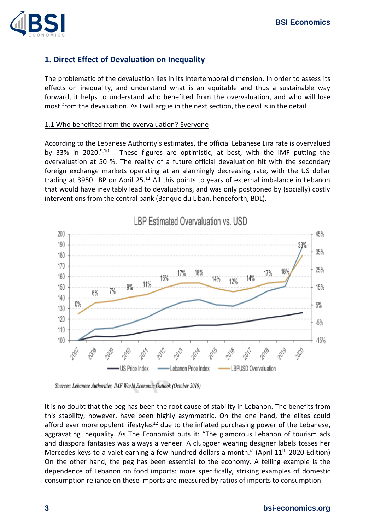

# **1. Direct Effect of Devaluation on Inequality**

The problematic of the devaluation lies in its intertemporal dimension. In order to assess its effects on inequality, and understand what is an equitable and thus a sustainable way forward, it helps to understand who benefited from the overvaluation, and who will lose most from the devaluation. As I will argue in the next section, the devil is in the detail.

#### 1.1 Who benefited from the overvaluation? Everyone

According to the Lebanese Authority's estimates, the official Lebanese Lira rate is overvalued by 33% in 2020.<sup>9,10</sup> These figures are optimistic, at best, with the IMF putting the overvaluation at 50 %. The reality of a future official devaluation hit with the secondary foreign exchange markets operating at an alarmingly decreasing rate, with the US dollar trading at 3950 LBP on April 25.<sup>11</sup> All this points to years of external imbalance in Lebanon that would have inevitably lead to devaluations, and was only postponed by (socially) costly interventions from the central bank (Banque du Liban, henceforth, BDL).



Sources: Lebanese Authorities, IMF World Economic Outlook (October 2019)

It is no doubt that the peg has been the root cause of stability in Lebanon. The benefits from this stability, however, have been highly asymmetric. On the one hand, the elites could afford ever more opulent lifestyles<sup>12</sup> due to the inflated purchasing power of the Lebanese, aggravating inequality. As The Economist puts it: "The glamorous Lebanon of tourism ads and diaspora fantasies was always a veneer. A clubgoer wearing designer labels tosses her Mercedes keys to a valet earning a few hundred dollars a month." (April  $11<sup>th</sup>$  2020 Edition) On the other hand, the peg has been essential to the economy. A telling example is the dependence of Lebanon on food imports: more specifically, striking examples of domestic consumption reliance on these imports are measured by ratios of imports to consumption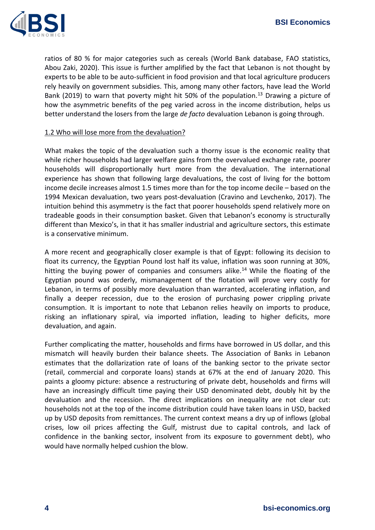

ratios of 80 % for major categories such as cereals (World Bank database, FAO statistics, Abou Zaki, 2020). This issue is further amplified by the fact that Lebanon is not thought by experts to be able to be auto-sufficient in food provision and that local agriculture producers rely heavily on government subsidies. This, among many other factors, have lead the World Bank (2019) to warn that poverty might hit 50% of the population.<sup>13</sup> Drawing a picture of how the asymmetric benefits of the peg varied across in the income distribution, helps us better understand the losers from the large *de facto* devaluation Lebanon is going through.

#### 1.2 Who will lose more from the devaluation?

What makes the topic of the devaluation such a thorny issue is the economic reality that while richer households had larger welfare gains from the overvalued exchange rate, poorer households will disproportionally hurt more from the devaluation. The international experience has shown that following large devaluations, the cost of living for the bottom income decile increases almost 1.5 times more than for the top income decile – based on the 1994 Mexican devaluation, two years post-devaluation (Cravino and Levchenko, 2017). The intuition behind this asymmetry is the fact that poorer households spend relatively more on tradeable goods in their consumption basket. Given that Lebanon's economy is structurally different than Mexico's, in that it has smaller industrial and agriculture sectors, this estimate is a conservative minimum.

A more recent and geographically closer example is that of Egypt: following its decision to float its currency, the Egyptian Pound lost half its value, inflation was soon running at 30%, hitting the buying power of companies and consumers alike.<sup>14</sup> While the floating of the Egyptian pound was orderly, mismanagement of the flotation will prove very costly for Lebanon, in terms of possibly more devaluation than warranted, accelerating inflation, and finally a deeper recession, due to the erosion of purchasing power crippling private consumption. It is important to note that Lebanon relies heavily on imports to produce, risking an inflationary spiral, via imported inflation, leading to higher deficits, more devaluation, and again.

Further complicating the matter, households and firms have borrowed in US dollar, and this mismatch will heavily burden their balance sheets. The Association of Banks in Lebanon estimates that the dollarization rate of loans of the banking sector to the private sector (retail, commercial and corporate loans) stands at 67% at the end of January 2020. This paints a gloomy picture: absence a restructuring of private debt, households and firms will have an increasingly difficult time paying their USD denominated debt, doubly hit by the devaluation and the recession. The direct implications on inequality are not clear cut: households not at the top of the income distribution could have taken loans in USD, backed up by USD deposits from remittances. The current context means a dry up of inflows (global crises, low oil prices affecting the Gulf, mistrust due to capital controls, and lack of confidence in the banking sector, insolvent from its exposure to government debt), who would have normally helped cushion the blow.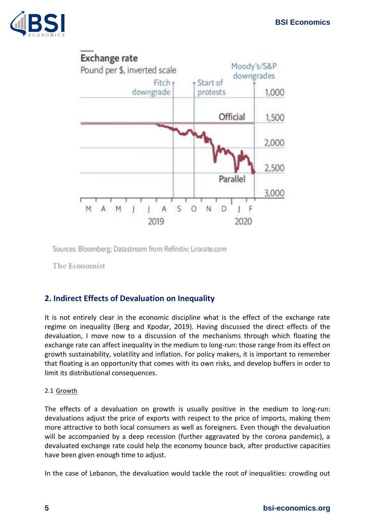



Sources: Bloomberg; Datastream from Refinitiv; Lirarate.com

The Economist

# **2. Indirect Effects of Devaluation on Inequality**

It is not entirely clear in the economic discipline what is the effect of the exchange rate regime on inequality (Berg and Kpodar, 2019). Having discussed the direct effects of the devaluation, I move now to a discussion of the mechanisms through which floating the exchange rate can affect inequality in the medium to long-run: those range from its effect on growth sustainability, volatility and inflation. For policy makers, it is important to remember that floating is an opportunity that comes with its own risks, and develop buffers in order to limit its distributional consequences.

### 2.1 Growth

The effects of a devaluation on growth is usually positive in the medium to long-run: devaluations adjust the price of exports with respect to the price of imports, making them more attractive to both local consumers as well as foreigners. Even though the devaluation will be accompanied by a deep recession (further aggravated by the corona pandemic), a devaluated exchange rate could help the economy bounce back, after productive capacities have been given enough time to adjust.

In the case of Lebanon, the devaluation would tackle the root of inequalities: crowding out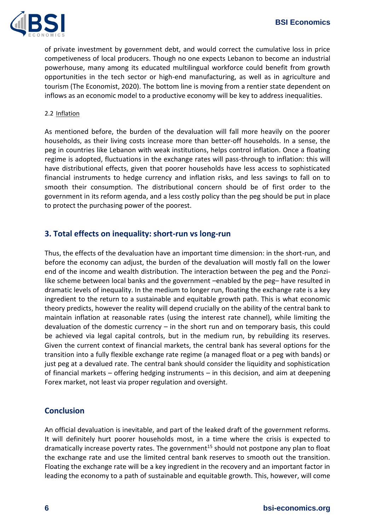

of private investment by government debt, and would correct the cumulative loss in price competiveness of local producers. Though no one expects Lebanon to become an industrial powerhouse, many among its educated multilingual workforce could benefit from growth opportunities in the tech sector or high-end manufacturing, as well as in agriculture and tourism (The Economist, 2020). The bottom line is moving from a rentier state dependent on inflows as an economic model to a productive economy will be key to address inequalities.

#### 2.2 Inflation

As mentioned before, the burden of the devaluation will fall more heavily on the poorer households, as their living costs increase more than better-off households. In a sense, the peg in countries like Lebanon with weak institutions, helps control inflation. Once a floating regime is adopted, fluctuations in the exchange rates will pass-through to inflation: this will have distributional effects, given that poorer households have less access to sophisticated financial instruments to hedge currency and inflation risks, and less savings to fall on to smooth their consumption. The distributional concern should be of first order to the government in its reform agenda, and a less costly policy than the peg should be put in place to protect the purchasing power of the poorest.

## **3. Total effects on inequality: short-run vs long-run**

Thus, the effects of the devaluation have an important time dimension: in the short-run, and before the economy can adjust, the burden of the devaluation will mostly fall on the lower end of the income and wealth distribution. The interaction between the peg and the Ponzilike scheme between local banks and the government –enabled by the peg– have resulted in dramatic levels of inequality. In the medium to longer run, floating the exchange rate is a key ingredient to the return to a sustainable and equitable growth path. This is what economic theory predicts, however the reality will depend crucially on the ability of the central bank to maintain inflation at reasonable rates (using the interest rate channel), while limiting the devaluation of the domestic currency – in the short run and on temporary basis, this could be achieved via legal capital controls, but in the medium run, by rebuilding its reserves. Given the current context of financial markets, the central bank has several options for the transition into a fully flexible exchange rate regime (a managed float or a peg with bands) or just peg at a devalued rate. The central bank should consider the liquidity and sophistication of financial markets – offering hedging instruments – in this decision, and aim at deepening Forex market, not least via proper regulation and oversight.

### **Conclusion**

An official devaluation is inevitable, and part of the leaked draft of the government reforms. It will definitely hurt poorer households most, in a time where the crisis is expected to dramatically increase poverty rates. The government<sup>15</sup> should not postpone any plan to float the exchange rate and use the limited central bank reserves to smooth out the transition. Floating the exchange rate will be a key ingredient in the recovery and an important factor in leading the economy to a path of sustainable and equitable growth. This, however, will come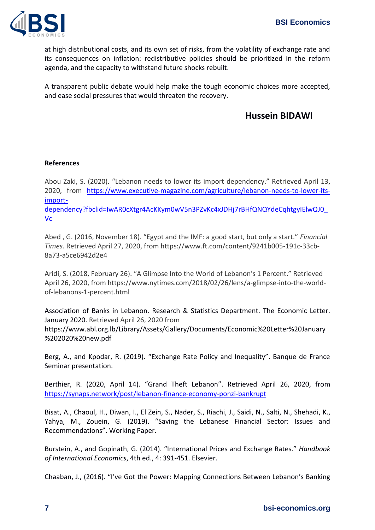

at high distributional costs, and its own set of risks, from the volatility of exchange rate and its consequences on inflation: redistributive policies should be prioritized in the reform agenda, and the capacity to withstand future shocks rebuilt.

A transparent public debate would help make the tough economic choices more accepted, and ease social pressures that would threaten the recovery.

# **Hussein BIDAWI**

#### **References**

Abou Zaki, S. (2020). "Lebanon needs to lower its import dependency." Retrieved April 13, 2020, from [https://www.executive-magazine.com/agriculture/lebanon-needs-to-lower-its](https://www.executive-magazine.com/agriculture/lebanon-needs-to-lower-its-import-dependency?fbclid=IwAR0cXtgr4AcKKym0wV5n3PZvKc4xJDHj7rBHfQNQYdeCqhtgyIElwQJ0_Vc)[import-](https://www.executive-magazine.com/agriculture/lebanon-needs-to-lower-its-import-dependency?fbclid=IwAR0cXtgr4AcKKym0wV5n3PZvKc4xJDHj7rBHfQNQYdeCqhtgyIElwQJ0_Vc)

[dependency?fbclid=IwAR0cXtgr4AcKKym0wV5n3PZvKc4xJDHj7rBHfQNQYdeCqhtgyIElwQJ0\\_](https://www.executive-magazine.com/agriculture/lebanon-needs-to-lower-its-import-dependency?fbclid=IwAR0cXtgr4AcKKym0wV5n3PZvKc4xJDHj7rBHfQNQYdeCqhtgyIElwQJ0_Vc) [Vc](https://www.executive-magazine.com/agriculture/lebanon-needs-to-lower-its-import-dependency?fbclid=IwAR0cXtgr4AcKKym0wV5n3PZvKc4xJDHj7rBHfQNQYdeCqhtgyIElwQJ0_Vc)

Abed , G. (2016, November 18). "Egypt and the IMF: a good start, but only a start." *Financial Times*. Retrieved April 27, 2020, from https://www.ft.com/content/9241b005-191c-33cb-8a73-a5ce6942d2e4

Aridi, S. (2018, February 26). "A Glimpse Into the World of Lebanon's 1 Percent." Retrieved April 26, 2020, from https://www.nytimes.com/2018/02/26/lens/a-glimpse-into-the-worldof-lebanons-1-percent.html

Association of Banks in Lebanon. Research & Statistics Department. The Economic Letter. January 2020. Retrieved April 26, 2020 from

https://www.abl.org.lb/Library/Assets/Gallery/Documents/Economic%20Letter%20January %202020%20new.pdf

Berg, A., and Kpodar, R. (2019). "Exchange Rate Policy and Inequality". Banque de France Seminar presentation.

Berthier, R. (2020, April 14). "Grand Theft Lebanon". Retrieved April 26, 2020, from <https://synaps.network/post/lebanon-finance-economy-ponzi-bankrupt>

Bisat, A., Chaoul, H., Diwan, I., El Zein, S., Nader, S., Riachi, J., Saidi, N., Salti, N., Shehadi, K., Yahya, M., Zouein, G. (2019). "Saving the Lebanese Financial Sector: Issues and Recommendations". Working Paper.

Burstein, A., and Gopinath, G. (2014). "International Prices and Exchange Rates." *Handbook of International Economics*, 4th ed., 4: 391-451. Elsevier.

Chaaban, J., (2016). "I've Got the Power: Mapping Connections Between Lebanon's Banking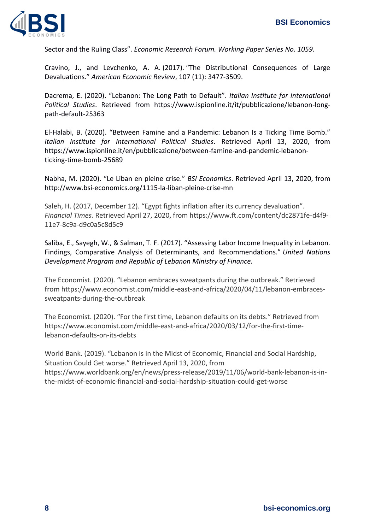

Sector and the Ruling Class". *Economic Research Forum. Working Paper Series No. 1059.*

Cravino, J., and Levchenko, A. A. (2017). "The Distributional Consequences of Large Devaluations." *American Economic Review*, 107 (11): 3477-3509.

Dacrema, E. (2020). "Lebanon: The Long Path to Default". *Italian Institute for International Political Studies*. Retrieved from https://www.ispionline.it/it/pubblicazione/lebanon-longpath-default-25363

El-Halabi, B. (2020). "Between Famine and a Pandemic: Lebanon Is a Ticking Time Bomb." *Italian Institute for International Political Studies*. Retrieved April 13, 2020, from https://www.ispionline.it/en/pubblicazione/between-famine-and-pandemic-lebanonticking-time-bomb-25689

Nabha, M. (2020). "Le Liban en pleine crise." *BSI Economics*. Retrieved April 13, 2020, from http://www.bsi-economics.org/1115-la-liban-pleine-crise-mn

Saleh, H. (2017, December 12). "Egypt fights inflation after its currency devaluation". *Financial Times.* Retrieved April 27, 2020, from https://www.ft.com/content/dc2871fe-d4f9- 11e7-8c9a-d9c0a5c8d5c9

Saliba, E., Sayegh, W., & Salman, T. F. (2017). "Assessing Labor Income Inequality in Lebanon. Findings, Comparative Analysis of Determinants, and Recommendations." *United Nations Development Program and Republic of Lebanon Ministry of Finance.*

The Economist. (2020). "Lebanon embraces sweatpants during the outbreak." Retrieved from https://www.economist.com/middle-east-and-africa/2020/04/11/lebanon-embracessweatpants-during-the-outbreak

The Economist. (2020). "For the first time, Lebanon defaults on its debts." Retrieved from https://www.economist.com/middle-east-and-africa/2020/03/12/for-the-first-timelebanon-defaults-on-its-debts

World Bank. (2019). "Lebanon is in the Midst of Economic, Financial and Social Hardship, Situation Could Get worse." Retrieved April 13, 2020, from https://www.worldbank.org/en/news/press-release/2019/11/06/world-bank-lebanon-is-inthe-midst-of-economic-financial-and-social-hardship-situation-could-get-worse